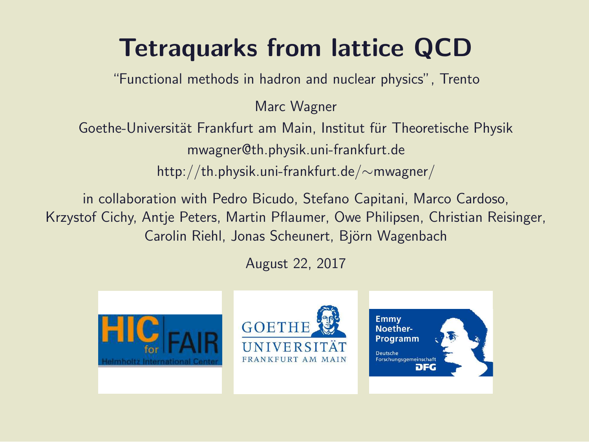### Tetraquarks from lattice QCD

"Functional methods in hadron and nuclear physics", Trento

Marc Wagner

Goethe-Universität Frankfurt am Main, Institut für Theoretische Physik mwagner@th.physik.uni-frankfurt.de http://th.physik.uni-frankfurt.de/∼mwagner/

in collaboration with Pedro Bicudo, Stefano Capitani, Marco Cardoso, Krzystof Cichy, Antje Peters, Martin Pflaumer, Owe Philipsen, Christian Reisinger, Carolin Riehl, Jonas Scheunert, Björn Wagenbach

August 22, 2017





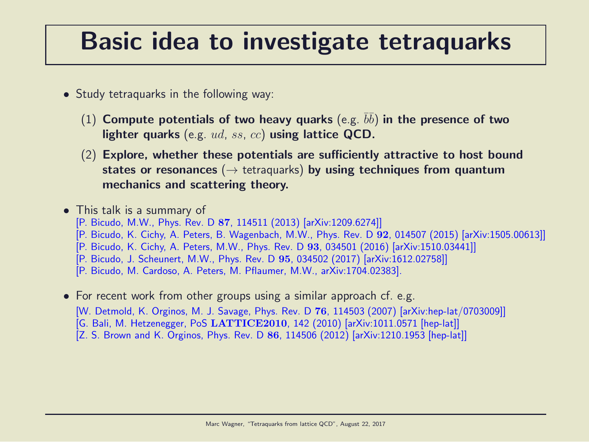### Basic idea to investigate tetraquarks

- Study tetraquarks in the following way:
	- (1) Compute potentials of two heavy quarks (e.g.  $\bar{b}\bar{b}$ ) in the presence of two lighter quarks (e.g. ud, ss, cc) using lattice QCD.
	- (2) Explore, whether these potentials are sufficiently attractive to host bound states or resonances ( $\rightarrow$  tetraquarks) by using techniques from quantum mechanics and scattering theory.

• This talk is a summary of [P. Bicudo, M.W., Phys. Rev. D 87, 114511 (2013) [arXiv:1209.6274]] [P. Bicudo, K. Cichy, A. Peters, B. Wagenbach, M.W., Phys. Rev. D 92, 014507 (2015) [arXiv:1505.00613]] [P. Bicudo, K. Cichy, A. Peters, M.W., Phys. Rev. D 93, 034501 (2016) [arXiv:1510.03441]] [P. Bicudo, J. Scheunert, M.W., Phys. Rev. D 95, 034502 (2017) [arXiv:1612.02758]] [P. Bicudo, M. Cardoso, A. Peters, M. Pflaumer, M.W., arXiv:1704.02383].

• For recent work from other groups using a similar approach cf. e.g. [W. Detmold, K. Orginos, M. J. Savage, Phys. Rev. D 76, 114503 (2007) [arXiv:hep-lat/0703009]] [G. Bali, M. Hetzenegger, PoS LATTICE2010, 142 (2010) [arXiv:1011.0571 [hep-lat]] [Z. S. Brown and K. Orginos, Phys. Rev. D 86, 114506 (2012) [arXiv:1210.1953 [hep-lat]]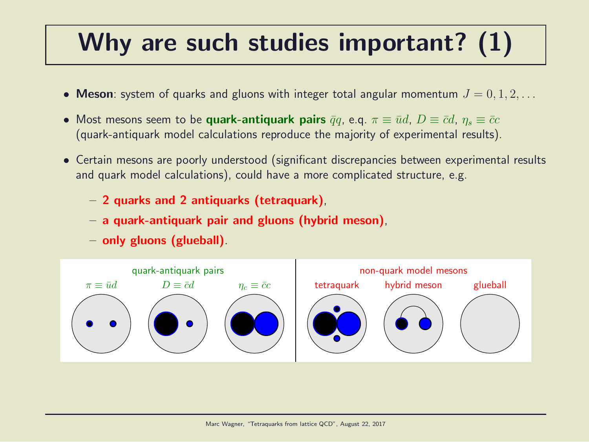### Why are such studies important? (1)

- Meson: system of quarks and gluons with integer total angular momentum  $J = 0, 1, 2, \ldots$
- Most mesons seem to be quark-antiquark pairs  $\bar{q}q$ , e.q.  $\pi \equiv \bar{u}d$ ,  $D \equiv \bar{c}d$ ,  $\eta_s \equiv \bar{c}c$ (quark-antiquark model calculations reproduce the majority of experimental results).
- Certain mesons are poorly understood (significant discrepancies between experimental results and quark model calculations), could have a more complicated structure, e.g.
	- 2 quarks and 2 antiquarks (tetraquark),
	- a quark-antiquark pair and gluons (hybrid meson),
	- only gluons (glueball).

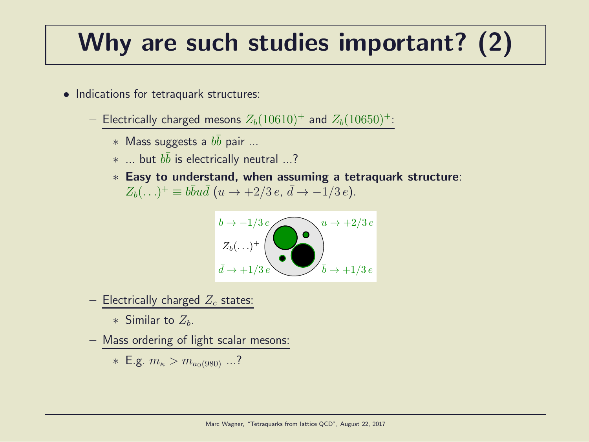### Why are such studies important? (2)

- Indications for tetraquark structures:
	- Electrically charged mesons  $Z_b(10610)^+$  and  $Z_b(10650)^+$ :
		- $*$  Mass suggests a  $b\bar{b}$  pair ...
		- $*$  ... but  $b\bar{b}$  is electrically neutral ...?
		- ∗ Easy to understand, when assuming a tetraquark structure:  $Z_b(\ldots)^+ \equiv b\bar{b}u\bar{d}$   $(u \to +2/3 e, \, \bar{d} \to -1/3 e).$



- Electrically charged  $Z_c$  states:

∗ Similar to  $Z_h$ .

– Mass ordering of light scalar mesons:

\* E.g. 
$$
m_{\kappa} > m_{a_0(980)}
$$
 ...?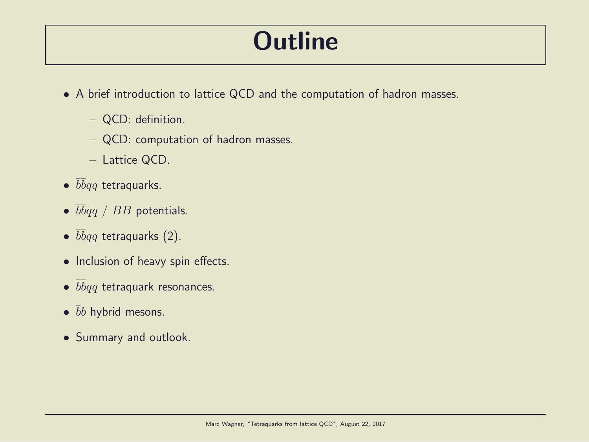### **Outline**

- A brief introduction to lattice QCD and the computation of hadron masses.
	- QCD: definition.
	- QCD: computation of hadron masses.
	- Lattice QCD.
- $\bullet$   $\bar b\bar b qq$  tetraquarks.
- $\bullet$   $\overline{b} \overline{b} q \overline{q}$  /  $BB$  potentials.
- $\overline{b}bqq$  tetraquarks (2).
- Inclusion of heavy spin effects.
- $\bullet$   $\bar b\bar b qq$  tetraquark resonances.
- $\bar{b}b$  hybrid mesons.
- Summary and outlook.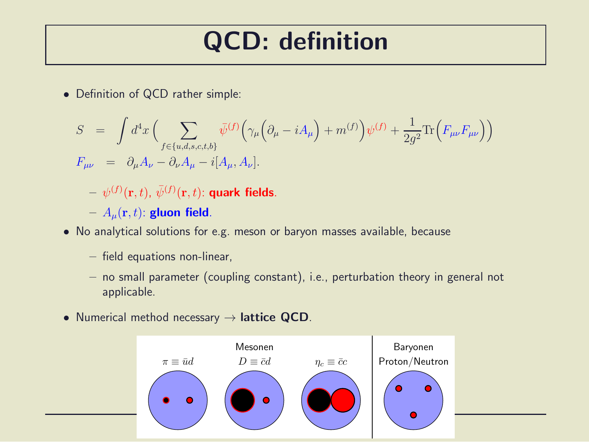### QCD: definition

• Definition of QCD rather simple:

$$
S = \int d^4x \left( \sum_{f \in \{u,d,s,c,t,b\}} \bar{\psi}^{(f)} \left( \gamma_\mu \left( \partial_\mu - i A_\mu \right) + m^{(f)} \right) \psi^{(f)} + \frac{1}{2g^2} \text{Tr} \left( F_{\mu\nu} F_{\mu\nu} \right) \right)
$$
  

$$
F_{\mu\nu} = \partial_\mu A_\nu - \partial_\nu A_\mu - i [A_\mu, A_\nu].
$$

 $- \,\, \psi^{(f)}({\bf r},t) , \, \bar \psi^{(f)}({\bf r},t) {\rm : \, quark \,\, fields}.$ 

- $-A_\mu({\bf r},t)$ : gluon field.
- No analytical solutions for e.g. meson or baryon masses available, because
	- field equations non-linear,
	- no small parameter (coupling constant), i.e., perturbation theory in general not applicable.
- Numerical method necessary  $\rightarrow$  lattice QCD.

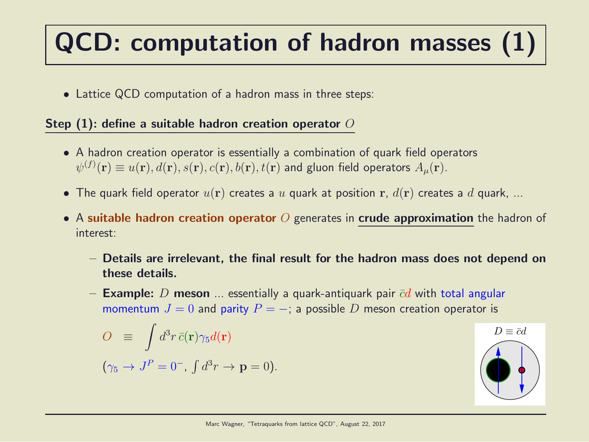## QCD: computation of hadron masses (1)

• Lattice QCD computation of a hadron mass in three steps:

#### Step  $(1)$ : define a suitable hadron creation operator  $O$

- A hadron creation operator is essentially a combination of quark field operators  $\psi^{(f)}(\mathbf{r})\equiv u(\mathbf{r}),d(\mathbf{r}),s(\mathbf{r}),c(\mathbf{r}),b(\mathbf{r}),t(\mathbf{r})$  and gluon field operators  $A_{\mu}(\mathbf{r}).$
- The quark field operator  $u(\bf{r})$  creates a u quark at position  $\bf{r}$ ,  $d(\bf{r})$  creates a d quark, ...
- A suitable hadron creation operator O generates in crude approximation the hadron of interest:
	- Details are irrelevant, the final result for the hadron mass does not depend on these details.
	- **Example:** D **meson** ... essentially a quark-antiquark pair  $\bar{c}d$  with total angular momentum  $J = 0$  and parity  $P = -$ ; a possible D meson creation operator is

$$
O \equiv \int d^3r \,\bar{c}(\mathbf{r}) \gamma_5 d(\mathbf{r})
$$

$$
(\gamma_5 \to J^P = 0^-, \int d^3r \to \mathbf{p} = 0).
$$

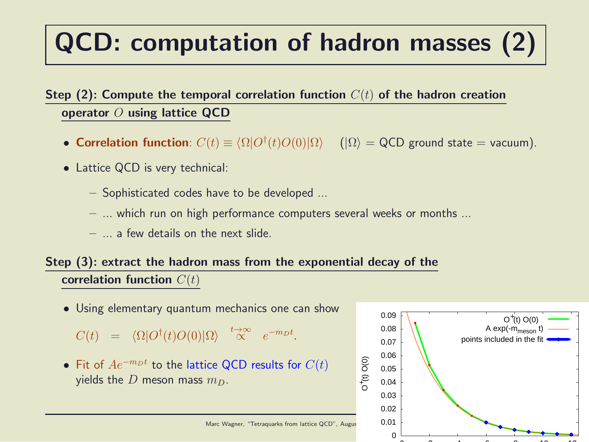### QCD: computation of hadron masses (2)

#### Step (2): Compute the temporal correlation function  $C(t)$  of the hadron creation operator  $O$  using lattice QCD

- Correlation function:  $C(t) \equiv \langle \Omega | O^{\dagger}(t) O(0) | \Omega \rangle$  ( $| \Omega \rangle$  = QCD ground state = vacuum).
- Lattice QCD is very technical:
	- Sophisticated codes have to be developed ...
	- ... which run on high performance computers several weeks or months ...
	- $-$  a few details on the next slide.

#### Step (3): extract the hadron mass from the exponential decay of the correlation function  $C(t)$

• Using elementary quantum mechanics one can show

 $C(t) = \langle \Omega | O^{\dagger}(t) O(0) | \Omega \rangle \stackrel{t \to \infty}{\propto} e^{-m_D t}.$ 

• Fit of  $Ae^{-m_Dt}$  to the lattice QCD results for  $C(t)$ yields the D meson mass  $m_D$ .



Marc Wagner, "Tetraquarks from lattice QCD", August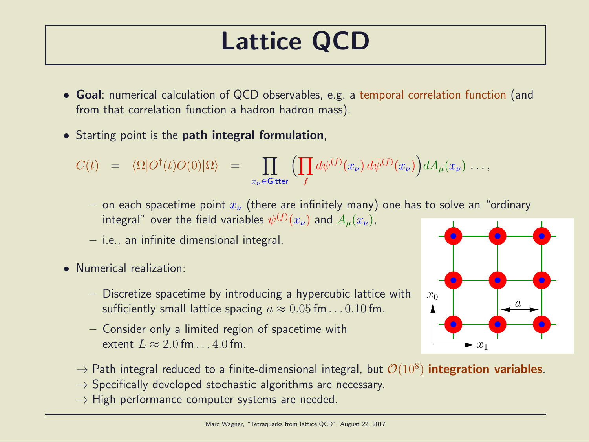### Lattice QCD

- Goal: numerical calculation of QCD observables, e.g. a temporal correlation function (and from that correlation function a hadron hadron mass).
- Starting point is the **path integral formulation**,

$$
C(t) = \langle \Omega | O^{\dagger}(t) O(0) | \Omega \rangle = \prod_{x_{\nu} \in \text{Gitter}} \Big( \prod_{f} d\psi^{(f)}(x_{\nu}) d\bar{\psi}^{(f)}(x_{\nu}) \Big) dA_{\mu}(x_{\nu}) \dots,
$$

- on each spacetime point  $x_{\nu}$  (there are infinitely many) one has to solve an "ordinary integral" over the field variables  $\psi^{(f)}(x_\nu)$  and  $A_\mu(x_\nu)$ ,
- i.e., an infinite-dimensional integral.
- Numerical realization:
	- Discretize spacetime by introducing a hypercubic lattice with sufficiently small lattice spacing  $a \approx 0.05$  fm...  $0.10$  fm.
	- Consider only a limited region of spacetime with extent  $L \approx 2.0$  fm . . . 4.0 fm.



- $\rightarrow$  Path integral reduced to a finite-dimensional integral, but  $\mathcal{O}(10^8)$  integration variables.
- $\rightarrow$  Specifically developed stochastic algorithms are necessary.
- $\rightarrow$  High performance computer systems are needed.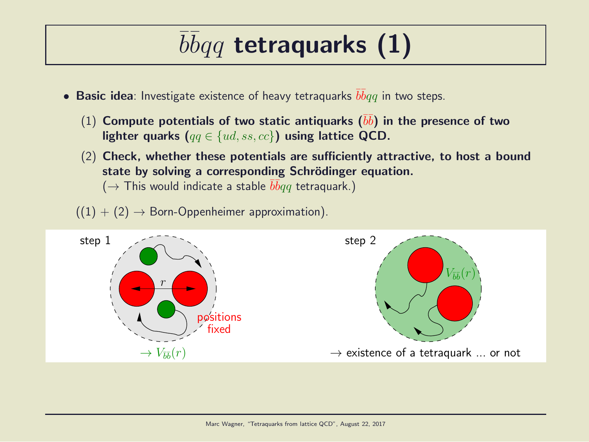## $\overline{b} \overline{b} q q$  tetraquarks (1)

- $\bullet$  Basic idea: Investigate existence of heavy tetraquarks  $\overline{bb}q$  in two steps.
	- $(1)$  Compute potentials of two static antiquarks  $(\bar{b}\bar{b})$  in the presence of two lighter quarks ( $qq \in \{ud, ss, cc\}$ ) using lattice QCD.
	- (2) Check, whether these potentials are sufficiently attractive, to host a bound state by solving a corresponding Schrödinger equation.  $(\rightarrow$  This would indicate a stable  $\bar b\bar b qq$  tetraquark.)
	- $((1) + (2) \rightarrow$  Born-Oppenheimer approximation).

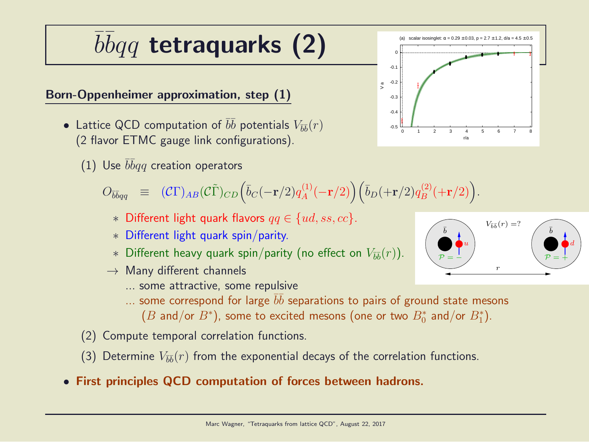## $\overline{b} \overline{b} q q$  tetraquarks (2)

#### Born-Oppenheimer approximation, step (1)

- Lattice QCD computation of  $b\bar{b}$  potentials  $V_{\bar{b}\bar{b}}(r)$ (2 flavor ETMC gauge link configurations).
	- (1) Use  $\bar b\bar b qq$  creation operators

 $O_{\bar{b}\bar{b}q q} \ \ \equiv \ \ (\mathcal{C}\Gamma)_{AB} (\mathcal{C}\tilde{\Gamma})_{CD} \Big( \bar{b}_C (-{\bf r}/2) q_A^{(1)}$  $\bar{b}_A^{(1)}(-{\bf r}/2)\Big) \Big( \bar{b}_D(+{\bf r}/2) q_B^{(2)}$  $\binom{2}{B} (+\mathbf{r}/2)$  .

- ∗ Different light quark flavors qq ∈ {ud, ss, cc}.
- ∗ Different light quark spin/parity.
- $*$  Different heavy quark spin/parity (no effect on  $V_{\bar{b}\bar{b}}(r)$ ).
- $\rightarrow$  Many different channels
	- ... some attractive, some repulsive
	- $\ldots$  some correspond for large  $\bar b \bar b$  separations to pairs of ground state mesons  $(B \; \textsf{and/or} \; B^*),$  some to excited mesons (one or two  $B_0^*$  and/or  $B_1^*).$
- (2) Compute temporal correlation functions.
- (3) Determine  $V_{\bar{b}\bar{b}}(r)$  from the exponential decays of the correlation functions.
- First principles QCD computation of forces between hadrons.



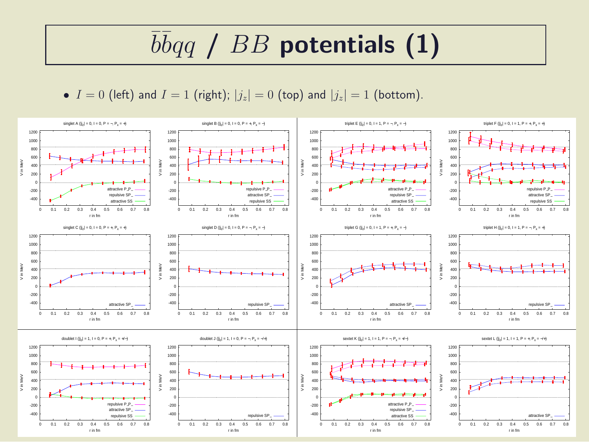## $\overline{b} \overline{b} q \overline{q}$  /  $BB$  potentials (1)

•  $I = 0$  (left) and  $I = 1$  (right);  $|j_z| = 0$  (top) and  $|j_z| = 1$  (bottom).

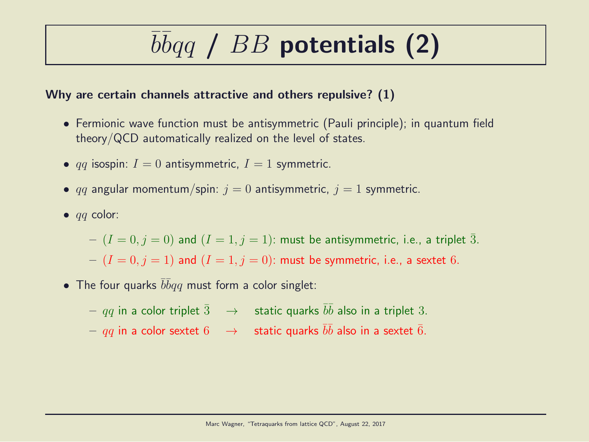# $\overline{b} \overline{b} q \overline{q}$  /  $BB$  potentials (2)

#### Why are certain channels attractive and others repulsive? (1)

- Fermionic wave function must be antisymmetric (Pauli principle); in quantum field theory/QCD automatically realized on the level of states.
- qq isospin:  $I = 0$  antisymmetric,  $I = 1$  symmetric.
- qq angular momentum/spin:  $j = 0$  antisymmetric,  $j = 1$  symmetric.
- $\bullet$  *qq* color:

 $I = (I = 0, j = 0)$  and  $(I = 1, j = 1)$ : must be antisymmetric, i.e., a triplet 3.  $-(I = 0, j = 1)$  and  $(I = 1, j = 0)$ : must be symmetric, i.e., a sextet 6.

• The four quarks  $\bar{b}\bar{b}qq$  must form a color singlet:

 $qq$  in a color triplet  $\bar{3}$   $\;\;\rightarrow$   $\;$  static quarks  $\bar{b}\bar{b}$  also in a triplet  $3.$  $qq$  in a color sextet  $6$   $\;\;\rightarrow$   $\;$  static quarks  $\bar{b}\bar{b}$  also in a sextet  $\bar{6}.$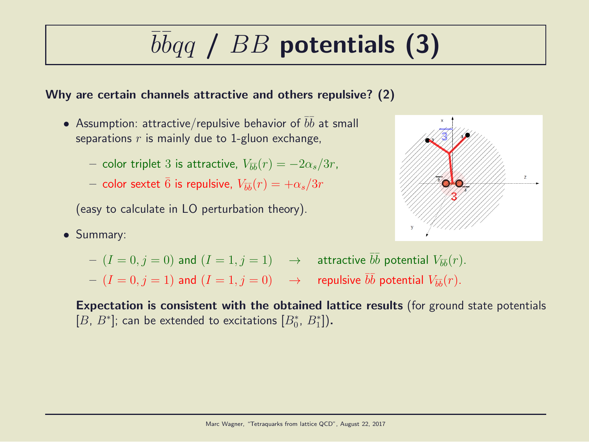# $\overline{b} \overline{b} q \overline{q}$  /  $BB$  potentials (3)

#### Why are certain channels attractive and others repulsive? (2)

- Assumption: attractive/repulsive behavior of  $\bar{b}\bar{b}$  at small separations  $r$  is mainly due to 1-gluon exchange,
	- $-$  color triplet 3 is attractive,  $V_{\bar{b}\bar{b}}(r) = -2\alpha_s/3r$ ,
	- $-$  color sextet  $\bar{6}$  is repulsive,  $V_{\bar{b}\bar{b}}(r)=+\alpha_s/3r$

(easy to calculate in LO perturbation theory).

• Summary:



- $(I = 0, j = 0)$  and  $(I = 1, j = 1)$   $\rightarrow$  attractive  $\overline{bb}$  potential  $V_{\overline{bb}}(r)$ .
- $(I = 0, j = 1)$  and  $(I = 1, j = 0) \longrightarrow$  repulsive  $\bar{b}\bar{b}$  potential  $V_{\bar{b}\bar{b}}(r)$ .

Expectation is consistent with the obtained lattice results (for ground state potentials  $[B, B^*]$ ; can be extended to excitations  $[B_0^*, B_1^*]$ ).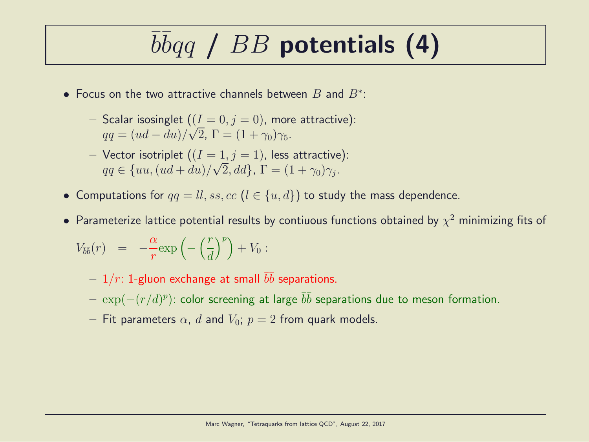## $\overline{b} \overline{b} q \overline{q}$  /  $BB$  potentials (4)

- Focus on the two attractive channels between  $B$  and  $B^*$ :
	- Scalar isosinglet  $((I = 0, j = 0)$ , more attractive):  $qq = (ud - du)/\sqrt{2}$ ,  $\Gamma = (1 + \gamma_0)\gamma_5$ .
	- Vector isotriplet  $((I = 1, j = 1))$ , less attractive):  $qq \in \{uu, (ud+du)/\sqrt{2}, dd\}, \Gamma = (1+\gamma_0)\gamma_j.$
- Computations for  $qq = ll, ss, cc$   $(l \in \{u, d\})$  to study the mass dependence.
- $\bullet$  Parameterize lattice potential results by contiuous functions obtained by  $\chi^2$  minimizing fits of

$$
V_{\bar{b}\bar{b}}(r) = -\frac{\alpha}{r} \exp\left(-\left(\frac{r}{d}\right)^p\right) + V_0:
$$

- $1/r$ : 1-gluon exchange at small  $\bar{b}\bar{b}$  separations.
- $\, \exp(-(r/d)^p)$ : color screening at large  $\bar{b} \bar{b}$  separations due to meson formation.
- Fit parameters  $\alpha$ , d and  $V_0$ ;  $p = 2$  from quark models.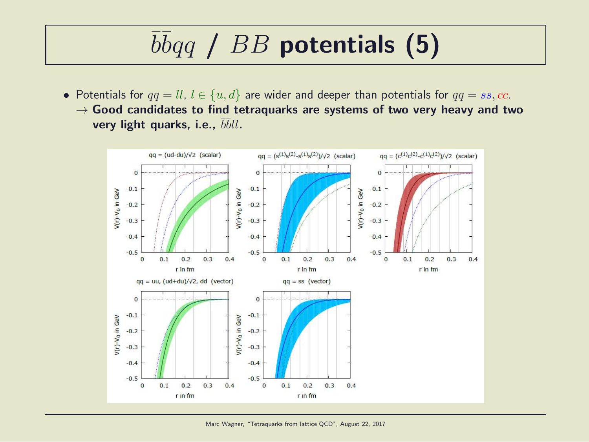## $\overline{b} \overline{b} q \overline{q}$  /  $BB$  potentials (5)

• Potentials for  $qq = ll, l \in \{u, d\}$  are wider and deeper than potentials for  $qq = ss, cc$ .  $\rightarrow$  Good candidates to find tetraquarks are systems of two very heavy and two very light quarks, i.e.,  $\bar{b}\bar{b}ll$ .

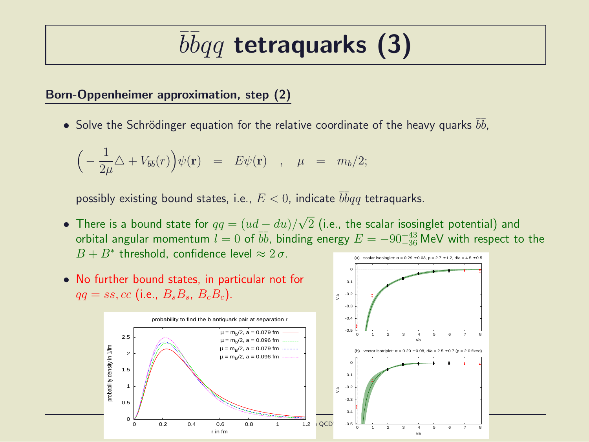## $\overline{b} \overline{b} q q$  tetraquarks (3)

#### Born-Oppenheimer approximation, step (2)

 $\bullet$  Solve the Schrödinger equation for the relative coordinate of the heavy quarks  $\bar{b}\bar{b}$ ,

$$
\left(-\frac{1}{2\mu}\Delta + V_{\bar{b}\bar{b}}(r)\right)\psi(\mathbf{r}) = E\psi(\mathbf{r}) \quad , \quad \mu = m_b/2;
$$

possibly existing bound states, i.e.,  $E < 0$ , indicate  $\bar b\bar b qq$  tetraquarks.

• There is a bound state for  $qq = (ud - du)/\sqrt{2}$  (i.e., the scalar isosinglet potential) and orbital angular momentum  $l=0$  of  $\overline{bb}$ , binding energy  $E=-90^{+43}_{-36}$  MeV with respect to the  $B + B^*$  threshold, confidence level  $\approx 2 \sigma$ . (a) scalar isosinglet:  $\alpha = 0.29 \pm 0.03$ , p = 2.7  $\pm$  1.2, d/a = 4.5

> -0.2 -0.1 0

 $\tilde{z}$ 



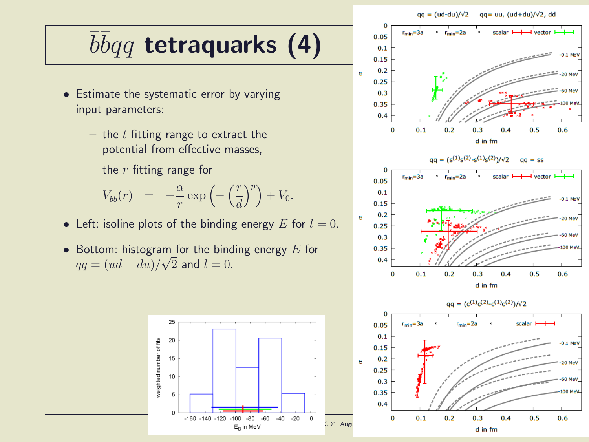#### $qa = (ud-du)/\sqrt{2}$  $qq = uu, (ud+du)/\sqrt{2}$ , dd

## $\overline{b} \overline{b} q q$  tetraquarks (4)

- Estimate the systematic error by varying input parameters:
	- the  $t$  fitting range to extract the potential from effective masses,
	- the  $r$  fitting range for

$$
V_{\overline{b}\overline{b}}(r) = -\frac{\alpha}{r} \exp\left(-\left(\frac{r}{d}\right)^p\right) + V_0.
$$

- Left: isoline plots of the binding energy E for  $l = 0$ .
- Bottom: histogram for the binding energy  $E$  for  $qq = (ud - du)/\sqrt{2}$  and  $l = 0$ .





d in fm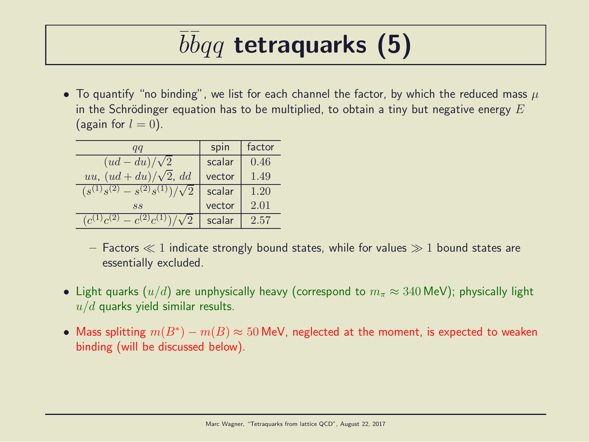## $\overline{b} \overline{b} q q$  tetraquarks (5)

• To quantify "no binding", we list for each channel the factor, by which the reduced mass  $\mu$ in the Schrödinger equation has to be multiplied, to obtain a tiny but negative energy  $E$ (again for  $l = 0$ ).

| qq                                  | spin   | factor |
|-------------------------------------|--------|--------|
| $(ud - du)/\sqrt{2}$                | scalar | 0.46   |
| uu, $(ud+du)/\sqrt{2}$ , dd         | vector | 1.49   |
| $(s^{(1)}s^{(2)} - s^{(2)}s^{(1)})$ | scalar | 1.20   |
| SS                                  | vector | 2.01   |
| $(c^{(1)}c^{(2)} - c^{(2)}c^{(1)})$ | scalar | 2.57   |

- Factors  $\ll 1$  indicate strongly bound states, while for values  $\gg 1$  bound states are essentially excluded.
- Light quarks  $(u/d)$  are unphysically heavy (correspond to  $m_\pi \approx 340$  MeV); physically light  $u/d$  quarks yield similar results.
- Mass splitting  $m(B^*) m(B) \approx 50$  MeV, neglected at the moment, is expected to weaken binding (will be discussed below).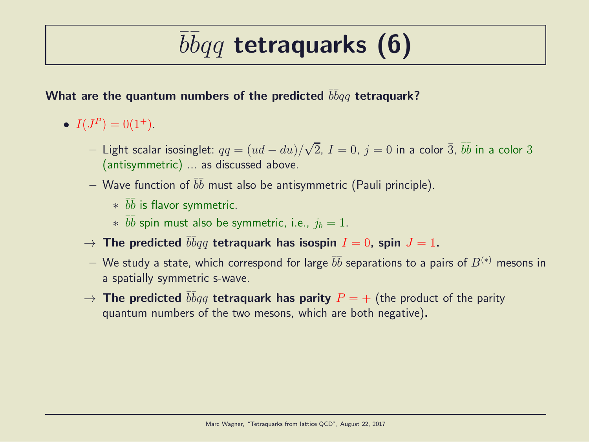## $\overline{b} \overline{b} q q$  tetraquarks (6)

#### What are the quantum numbers of the predicted  $\bar b \bar b q q$  tetraquark?

- $I(J^P) = 0(1^+).$ 
	- $−$  Light scalar isosinglet:  $qq = (ud du)/\sqrt{2}$ ,  $I = 0$ ,  $j = 0$  in a color  $\bar{3}$ ,  $\bar{b}\bar{b}$  in a color  $3$ (antisymmetric) ... as discussed above.
	- $-$  Wave function of  $\overline{b}\overline{b}$  must also be antisymmetric (Pauli principle).
		- $*$   $\bar{b}\bar{b}$  is flavor symmetric.
		- $*$   $\bar{b}\bar{b}$  spin must also be symmetric, i.e.,  $j_b = 1$ .
	- $\rightarrow$  The predicted  $\bar{b}\bar{b}qq$  tetraquark has isospin  $I=0$ , spin  $J=1.$
	- $-$  We study a state, which correspond for large  $\bar b \bar b$  separations to a pairs of  $B^{(*)}$  mesons in a spatially symmetric s-wave.
	- $\rightarrow$  The predicted  $\bar{b}\bar{b}qq$  tetraquark has parity  $P=+$  (the product of the parity quantum numbers of the two mesons, which are both negative).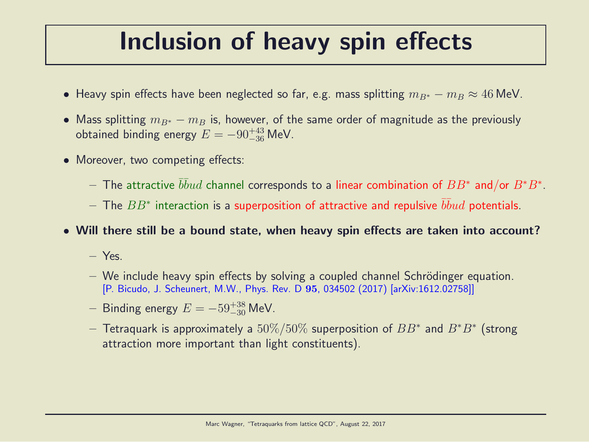### Inclusion of heavy spin effects

- Heavy spin effects have been neglected so far, e.g. mass splitting  $m_{B*} m_B \approx 46$  MeV.
- Mass splitting  $m_{B^*} m_B$  is, however, of the same order of magnitude as the previously obtained binding energy  $E = -90^{+43}_{-36}$  MeV.
- Moreover, two competing effects:
	- $-$  The attractive  $\bar b\bar b u d$  channel corresponds to a linear combination of  $BB^*$  and/or  $B^*B^*.$
	- $-$  The  $BB^{\ast}$  interaction is a superposition of attractive and repulsive  $\overline{b} \overline{b} u d$  potentials.
- Will there still be a bound state, when heavy spin effects are taken into account?
	- Yes.
	- $-$  We include heavy spin effects by solving a coupled channel Schrödinger equation. [P. Bicudo, J. Scheunert, M.W., Phys. Rev. D 95, 034502 (2017) [arXiv:1612.02758]]
	- $-$  Binding energy  $E = -59^{+38}_{-30}$  MeV.
	- $-$  Tetraquark is approximately a  $50\%/50\%$  superposition of  $BB^*$  and  $B^*B^*$  (strong attraction more important than light constituents).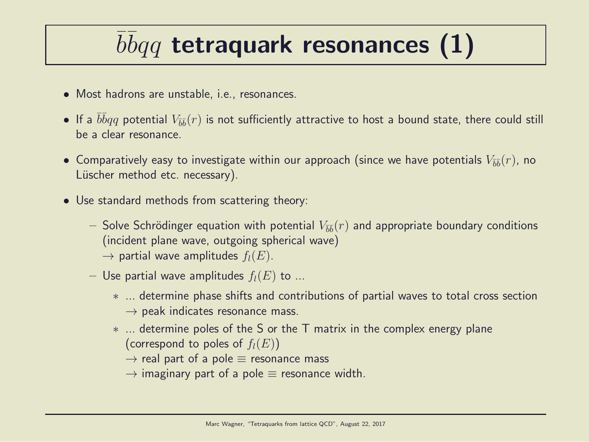## $\overline{b} \overline{b} q q$  tetraquark resonances (1)

- Most hadrons are unstable, i.e., resonances.
- $\bullet$  If a  $\bar{b}\bar{b}qq$  potential  $V_{\bar{b}\bar{b}}(r)$  is not sufficiently attractive to host a bound state, there could still be a clear resonance.
- $\bullet$  Comparatively easy to investigate within our approach (since we have potentials  $V_{\bar{b}\bar{b}}(r)$ , no Lüscher method etc. necessary).
- Use standard methods from scattering theory:
	- $-$  Solve Schrödinger equation with potential  $V_{\bar{b}\bar{b}}(r)$  and appropriate boundary conditions (incident plane wave, outgoing spherical wave)  $\rightarrow$  partial wave amplitudes  $f_l(E)$ .
	- Use partial wave amplitudes  $f_l(E)$  to ...
		- ∗ ... determine phase shifts and contributions of partial waves to total cross section  $\rightarrow$  peak indicates resonance mass.
		- ∗ ... determine poles of the S or the T matrix in the complex energy plane (correspond to poles of  $f_l(E)$ )
			- $\rightarrow$  real part of a pole  $\equiv$  resonance mass
			- $\rightarrow$  imaginary part of a pole  $\equiv$  resonance width.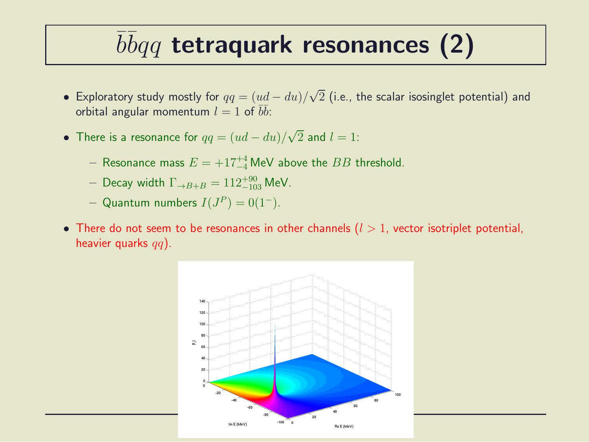## $\overline{b} \overline{b} q q$  tetraquark resonances (2)

- Exploratory study mostly for  $qq=(ud-du)/\sqrt{2}$  (i.e., the scalar isosinglet potential) and orbital angular momentum  $l=1$  of  $\overline{b}\overline{b}$ :
- There is a resonance for  $qq=(ud-du)/\sqrt{2}$  and  $l=1$ :
	- $-$  Resonance mass  $E = +17^{+4}_{-4}$  MeV above the  $BB$  threshold.
	- $-$  Decay width  $\Gamma_{\rightarrow B+B}=112^{+90}_{-103}$  MeV.
	- $-$  Quantum numbers  $I(J^P)=0(1^-).$
- There do not seem to be resonances in other channels  $(l > 1)$ , vector isotriplet potential, heavier quarks  $qq$ ).

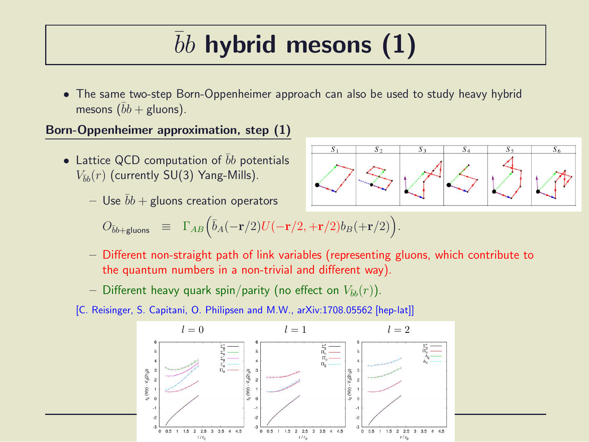## $bb$  hybrid mesons  $(1)$

• The same two-step Born-Oppenheimer approach can also be used to study heavy hybrid mesons  $(\bar{b}b + \text{gluons})$ .

#### Born-Oppenheimer approximation, step (1)

- Lattice QCD computation of  $\overline{b}b$  potentials  $V_{\bar{b}b}(r)$  (currently SU(3) Yang-Mills).
	- Use  $bb +$  gluons creation operators

$$
O_{\bar{b}b + \text{gluons}} \equiv \Gamma_{AB} (\bar{b}_A(-\mathbf{r}/2)U(-\mathbf{r}/2, +\mathbf{r}/2)b_B(+\mathbf{r}/2)).
$$

- Different non-straight path of link variables (representing gluons, which contribute to the quantum numbers in a non-trivial and different way).
- Different heavy quark spin/parity (no effect on  $V_{\bar{b}b}(r)$ ).
- [C. Reisinger, S. Capitani, O. Philipsen and M.W., arXiv:1708.05562 [hep-lat]]



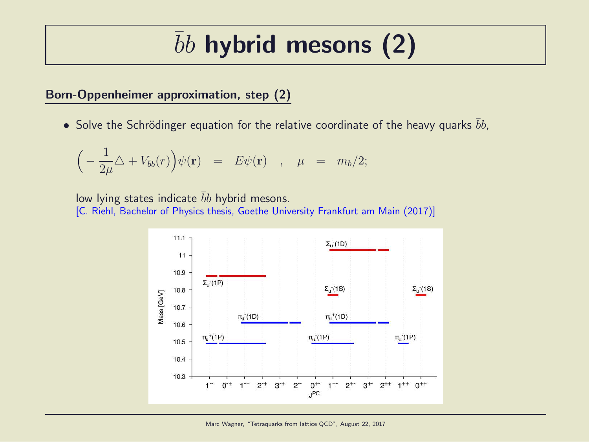### $bb$  hybrid mesons  $(2)$

#### Born-Oppenheimer approximation, step (2)

• Solve the Schrödinger equation for the relative coordinate of the heavy quarks  $bb$ ,

$$
\left(-\frac{1}{2\mu}\Delta + V_{\bar{b}b}(r)\right)\psi(\mathbf{r}) = E\psi(\mathbf{r}) \quad , \quad \mu = m_b/2;
$$

low lying states indicate  $bb$  hybrid mesons. [C. Riehl, Bachelor of Physics thesis, Goethe University Frankfurt am Main (2017)]